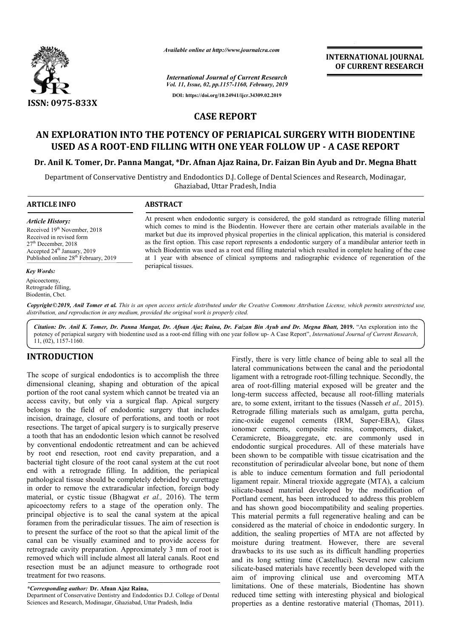

*Available online at http://www.journalcra.com*

*International Journal of Current Research Vol. 11, Issue, 02, pp.1157-1160, February, 2019* **DOI: https://doi.org/10.24941/ijcr.34309.02.2019**

**INTERNATIONAL JOURNAL OF CURRENT RESEARCH**

# **CASE REPORT**

# **AN EXPLORATION INTO THE POTENCY OF PERIAPICAL SURGERY WITH BIODENTINE POTENCY SURGERY WITH USED AS A ROOT-END FILLING WITH ONE YEAR FOLLOW UP END - A CASE REPORT**

## Dr. Anil K. Tomer, Dr. Panna Mangat, \*Dr. Afnan Ajaz Raina, Dr. Faizan Bin Ayub and Dr. Megna Bhatt

Department of Conservative Dentistry and Endodontics D.J. College of Dental Sciences and Research, Modinagar, Ghaziabad, Uttar Pradesh, India

> At present when endodontic surgery is considered, the gold standard as retrograde filling material At present when endodontic surgery is considered, the gold standard as retrograde filling material which comes to mind is the Biodentin. However there are certain other materials available in the market but due its improved physical properties in the clinical application, this material is considered as the first option. This case report represents a endodontic surgery of a mandibular anterior teeth in which Biodentin was used as a root end filling material which resulted in complete healing of the case as the first option. This case report represents a endodontic surgery of a mandibular anterior teeth in which Biodentin was used as a root end filling material which resulted in complete healing of the case at 1 year with

**ARTICLE INFO ABSTRACT**

periapical tissues.

*distribution, and reproduction in any medium, provided the original work is properly cited.*

*Article History:* Received 19<sup>th</sup> November, 2018 Received in revised form 27th December, 2018 Accepted 24<sup>th</sup> January, 2019 Published online 28<sup>th</sup> February, 2019

#### *Key Words:*

Apicoectomy, Retrograde filling, Biodentin, Cbct.

Copyright©2019, Anil Tomer et al. This is an open access article distributed under the Creative Commons Attribution License, which permits unrestricted use,

*Citation: Dr. Anil K. Tomer, Dr. Panna Mangat, Dr. Afnan Ajaz Raina, Dr. Faizan Bin Ayub and Dr. Megna Bhatt Bhatt,* **2019.** "An exploration into the potency of periapical surgery with biodentine used as a root-end filling with one year follow up- A Case Report", *International Journal of Current Research*, 11, (02), 1157-1160.

# **INTRODUCTION**

The scope of surgical endodontics is to accomplish the three dimensional cleaning, shaping and obturation of the apical portion of the root canal system which cannot be treated via an access cavity, but only via a surgical flap. Apical surgery belongs to the field of endodontic surgery that includes incision, drainage, closure of perforations, and tooth or root resections. The target of apical surgery is to surgically preserve a tooth that has an endodontic lesion which cannot be resolved by conventional endodontic retreatment and can be achieved by root end resection, root end cavity preparation, and a bacterial tight closure of the root canal system at the cut root end with a retrograde filling. In addition, the periapical pathological tissue should be completely debrided by curettage in order to remove the extraradicular infection, foreign body material, or cystic tissue (Bhagwat *et al.,*  apicoectomy refers to a stage of the operation only. The principal objective is to seal the canal system at the apical foramen from the periradicular tissues. The aim of resection is to present the surface of the root so that the apical limit of the canal can be visually examined and to provide access for retrograde cavity preparation. Approximately 3 mm of root is removed which will include almost all lateral canals. Root end resection must be an adjunct measure to orthograde root treatment for two reasons. dontic lesion which cannot be resolved<br>ontic retreatment and can be achieved<br>root end cavity preparation, and a<br>f the root canal system at the cut root<br> $:$  filling. In addition, the periapical<br>ld be completely debrided by

*\*Corresponding author:* **Dr. Afnan Ajaz Raina,** 

Department of Conservative Dentistry and Endodontics D.J. College of Dental Sciences and Research, Modinagar, Ghaziabad, Uttar Pradesh, India

Firstly, there is very little chance of being able to seal all the Firstly, there is very little chance of being able to seal all the lateral communications between the canal and the periodontal ligament with a retrograde root-filling technique. Secondly, the area of root-filling material exposed will be greater and the area of root-filling material exposed will be greater and the long-term success affected, because all root-filling materials are, to some extent, irritant to the tissues (Nasseh *et al.*, 2015). Retrograde filling materials such as amalgam, gutta percha, Retrograde filling materials such as amalgam, gutta percha, zinc-oxide eugenol cements (IRM, Super-EBA), Glass ionomer cements, composite resins, compomers, diaket, Ceramicrete, Bioaggregate, etc. are commonly used in endodontic surgical procedures. All of these materials have Ceramicrete, Bioaggregate, etc. are commonly used in endodontic surgical procedures. All of these materials have been shown to be compatible with tissue cicatrisation and the reconstitution of periradicular alveolar bone, but none of them is able to induce cementum formation and full periodontal ligament repair. Mineral trioxide aggregate (MTA), a calcium silicate-based material developed by the modification of Portland cement, has been introduced to address this problem and has shown good biocompatibility and sealing properties. This material permits a full regenerative healing and can be considered as the material of choice in endodontic surgery. In addition, the sealing properties of MTA are not affected by moisture during treatment. However, there are several considered as the material of choice in endodontic surgery. In addition, the sealing properties of MTA are not affected by moisture during treatment. However, there are several drawbacks to its use such as its difficult ha and its long setting time (Castelluci Castelluci). Several new calcium silicate-based materials have recently been developed with the aim of improving clinical use and overcoming MTA limitations. One of these materials, Biodentine has shown reduced time setting with interesting physical and biological properties as a dentine restorative material (Thomas, 2011). reconstitution of periradicular alveolar bone, but none of them<br>is able to induce cementum formation and full periodontal<br>ligament repair. Mineral trioxide aggregate (MTA), a calcium<br>silicate-based material developed by th silicate-based materials have recently been developed with the<br>aim of improving clinical use and overcoming MTA<br>limitations. One of these materials, Biodentine has shown<br>reduced time setting with interesting physical and b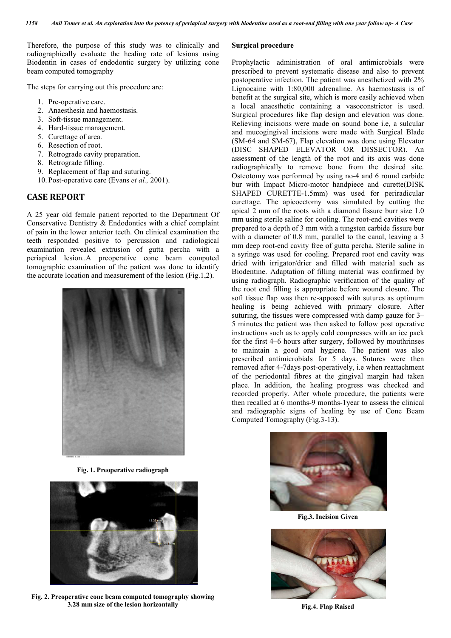Therefore, the purpose of this study was to clinically and radiographically evaluate the healing rate of lesions using Biodentin in cases of endodontic surgery by utilizing cone beam computed tomography

The steps for carrying out this procedure are:

1. Pre-operative care.

*Report*

- 2. Anaesthesia and haemostasis.
- 3. Soft-tissue management.
- 4. Hard-tissue management.
- 5. Curettage of area.
- 6. Resection of root.
- 7. Retrograde cavity preparation.
- 8. Retrograde filling.
- 9. Replacement of flap and suturing.
- 10. Post-operative care (Evans *et al.,* 2001).

## **CASE REPORT**

A 25 year old female patient reported to the Department Of Conservative Dentistry & Endodontics with a chief complaint of pain in the lower anterior teeth. On clinical examination the teeth responded positive to percussion and radiological examination revealed extrusion of gutta percha with a periapical lesion..A preoperative cone beam computed tomographic examination of the patient was done to identify tomographic examination of the patient was done to identitive accurate location and measurement of the lesion (Fig.1,2).



**Fig. 1. Preoperative radiograph**



**Fig. 2. Preoperative cone beam computed tomography showing 3.28 mm size of the lesion horizontally**

### **Surgical procedure**

Prophylactic administration of oral antimicrobials were prescribed to prevent systematic disease and also to prevent postoperative infection. The patient was anesthetized with 2% Lignocaine with 1:80,000 adrenaline. As haemostasis is of benefit at the surgical site, which is more easily achieved when a local anaesthetic containing a vasoconstrictor is used. Surgical procedures like flap design and elevation was done. Relieving incisions were made on sound bone i.e, a sulcular and mucogingival incisions were made with Surgical Blade (SM-64 and SM-67), Flap elevation was done using Elevator and mucogingival incisions were made with Surgical Blade (SM-64 and SM-67), Flap elevation was done using Elevator (DISC SHAPED ELEVATOR OR DISSECTOR). An assessment of the length of the root and its axis was done radiographically to remove bone from the desired site. Osteotomy was performed by using no-4 and 6 round carbide bur with Impact Micro-motor handpiece and curette(DISK SHAPED CURETTE-1.5mm) was used for periradicular curettage. The apicoectomy was simulated by cutting the bur with Impact Micro-motor handpiece and curette(DISK SHAPED CURETTE-1.5mm) was used for periradicular curettage. The apicoectomy was simulated by cutting the apical 2 mm of the roots with a diamond fissure burr size 1.0 mm using sterile saline for cooling. The root-end cavities were prepared to a depth of 3 mm with a tungsten carbide fissure bur with a diameter of 0.8 mm, parallel to the canal, leaving a 3 mm deep root-end cavity free of gutta percha. Sterile saline in a syringe was used for cooling. Prepared root end cavity was dried with irrigator/drier and filled with material such as Biodentine. Adaptation of filling material was confirmed by using radiograph. Radiographic verification of the quality of the root end filling is appropriate before wound closure. soft tissue flap was then re-apposed with sutures as optimum soft tissue flap was then re-apposed with sutures as optimum<br>healing is being achieved with primary closure. After suturing, the tissues were compressed with damp gauze for 3– 5 minutes the patient was then asked to follow post operative instructions such as to apply cold compresses with an ice pack instructions such as to apply cold compresses with an ice pack<br>for the first 4–6 hours after surgery, followed by mouthrinses to maintain a good oral hygiene. The patient was also prescribed antimicrobials for 5 days. Sutures were then removed after 4-7days post-operatively, i.e when reattachment of the periodontal fibres at the gingival margin had taken place. In addition, the healing progress was checked and recorded properly. After whole procedure, the patients were then recalled at 6 months-9 months 9 months-1year to assess the clinical and radiographic signs of healing by use of Cone Beam Computed Tomography (Fig. 3-13). Computed Tomography (Fig. 3-13). c administration of oral antimicrobials were<br>to prevent systematic disease and also to prevent<br>we infection. The patient was anesthetized with 2%<br>with 1:80,000 adrenaline. As haemostasis is of site, which is more easily achieved when<br>containing a vasoconstrictor is used.<br>ike flap design and elevation was done. the length of the root and its axis was done<br>y to remove bone from the desired site.<br>performed by using no-4 and 6 round carbide depth of 3 mm with a tungsten carbide fissure bur<br>ter of 0.8 mm, parallel to the canal, leaving a 3<br>t-end cavity free of gutta percha. Sterile saline in<br>s used for cooling. Prepared root end cavity was /drier and filled with material such as<br>ion of filling material was confirmed by<br>adiographic verification of the quality of<br>is appropriate before wound closure. The hoved after 4-7days post-operatively, i.e when reattachment the periodontal fibres at the gingival margin had taken ce. In addition, the healing progress was checked and orded properly. After whole procedure, the patients **EXECTS THE THE SECT THE SECT THE SECT THE SECT THE PART CERRA CERRA CERRA CERRA (THE PRESIDENT CERRA CHE PRESIDENT CONSTRUENT (THE PRESIDENT CHE (A which is more casily achieved with the ended on sound bone i.e., a sulcit** 



**Fig.3. Incision Given** 



**Fig.4. Flap Raised**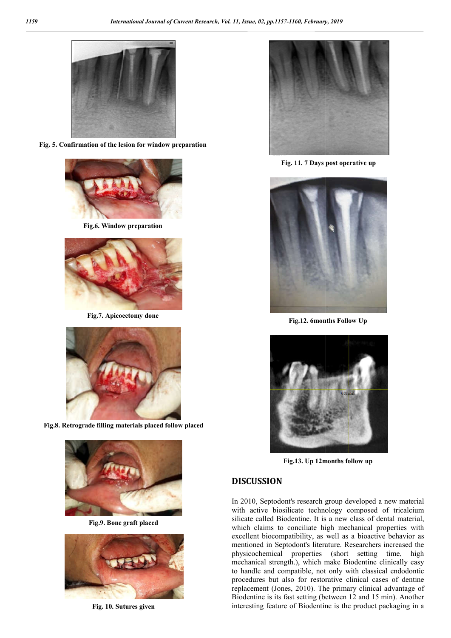

**Fig. 5. Confirmation of the lesion for window preparation**



**Fig.6. Window preparation**



**Fig.7. Apicoectomy done**



**Fig.8. Retrograde filling materials placed follow placed**



**Fig.9. Bone graft placed**



**Fig. 10. Sutures given**



**Fig. 11. 7 Days post operative up**



**Fig.12. 6months Follow Up**



**Fig.13.** Up 12months follow up

## **DISCUSSION**

In 2010, Septodont's research group developed a new material with active biosilicate technology composed of tricalcium silicate called Biodentine. It is a new class of dental material, which claims to conciliate high mechanical properties with excellent biocompatibility, as well as a bioactive behavior as mentioned in Septodont's literature. Researchers increased the physicochemical properties (short setting time, high mechanical strength.), which make Biodentine clinically easy to handle and compatible, not only with classical endodontic procedures but also for restorative clinical cases of dentine replacement (Jones, 2010). The primary clinical advantage of Biodentine is its fast setting (between 12 and 15 min). Another interesting feature of Biodentine is the product packaging in a 2010, Septodont's research group developed a new material<br>th active biosilicate technology composed of tricalcium<br>icate called Biodentine. It is a new class of dental material,<br>ich claims to conciliate high mechanical prop to handle and compatible, not only with classical endodontic procedures but also for restorative clinical cases of dentine replacement (Jones, 2010). The primary clinical advantage of Biodentine is its fast setting (betwee